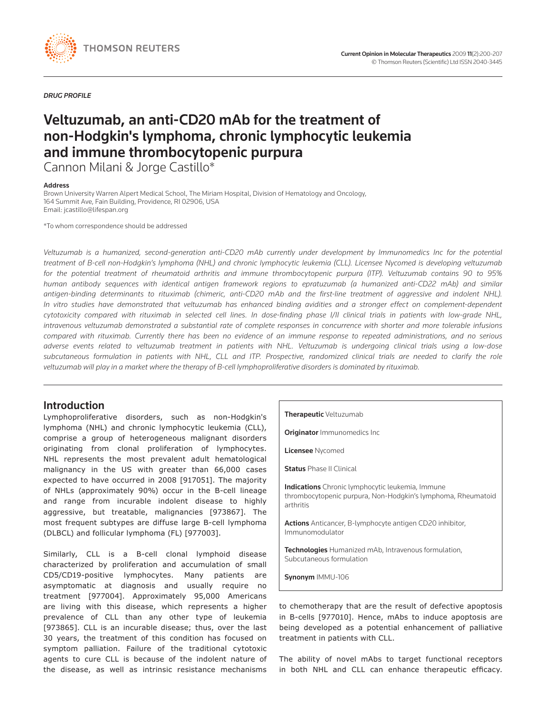

*DRUG PROFILE*

# Veltuzumab, an anti-CD20 mAb for the treatment of non-Hodgkin's lymphoma, chronic lymphocytic leukemia and immune thrombocytopenic purpura

Cannon Milani & Jorge Castillo\*

#### Address

Brown University Warren Alpert Medical School, The Miriam Hospital, Division of Hematology and Oncology, 164 Summit Ave, Fain Building, Providence, RI 02906, USA Email: jcastillo@lifespan.org

\*To whom correspondence should be addressed

*Veltuzumab is a humanized, second-generation anti-CD20 mAb currently under development by Immunomedics Inc for the potential treatment of B-cell non-Hodgkin's lymphoma (NHL) and chronic lymphocytic leukemia (CLL). Licensee Nycomed is developing veltuzumab for the potential treatment of rheumatoid arthritis and immune thrombocytopenic purpura (ITP). Veltuzumab contains 90 to 95% human antibody sequences with identical antigen framework regions to epratuzumab (a humanized anti-CD22 mAb) and similar antigen-binding determinants to rituximab (chimeric, anti-CD20 mAb and the first-line treatment of aggressive and indolent NHL). In vitro studies have demonstrated that veltuzumab has enhanced binding avidities and a stronger effect on complement-dependent cytotoxicity compared with rituximab in selected cell lines. In dose-finding phase I/II clinical trials in patients with low-grade NHL, intravenous veltuzumab demonstrated a substantial rate of complete responses in concurrence with shorter and more tolerable infusions compared with rituximab. Currently there has been no evidence of an immune response to repeated administrations, and no serious adverse events related to veltuzumab treatment in patients with NHL. Veltuzumab is undergoing clinical trials using a low-dose subcutaneous formulation in patients with NHL, CLL and ITP. Prospective, randomized clinical trials are needed to clarify the role veltuzumab will play in a market where the therapy of B-cell lymphoproliferative disorders is dominated by rituximab.* 

# Introduction

Lymphoproliferative disorders, such as non-Hodgkin's lymphoma (NHL) and chronic lymphocytic leukemia (CLL), comprise a group of heterogeneous malignant disorders originating from clonal proliferation of lymphocytes. NHL represents the most prevalent adult hematological malignancy in the US with greater than 66,000 cases expected to have occurred in 2008 [917051]. The majority of NHLs (approximately 90%) occur in the B-cell lineage and range from incurable indolent disease to highly aggressive, but treatable, malignancies [973867]. The most frequent subtypes are diffuse large B-cell lymphoma (DLBCL) and follicular lymphoma (FL) [977003].

Similarly, CLL is a B-cell clonal lymphoid disease characterized by proliferation and accumulation of small CD5/CD19-positive lymphocytes. Many patients are asymptomatic at diagnosis and usually require no treatment [977004]. Approximately 95,000 Americans are living with this disease, which represents a higher prevalence of CLL than any other type of leukemia [973865]. CLL is an incurable disease; thus, over the last 30 years, the treatment of this condition has focused on symptom palliation. Failure of the traditional cytotoxic agents to cure CLL is because of the indolent nature of the disease, as well as intrinsic resistance mechanisms Therapeutic Veltuzumab

**Originator** Immunomedics Inc

**Licensee** Nycomed

**Status Phase II Clinical** 

Indications Chronic lymphocytic leukemia, Immune thrombocytopenic purpura, Non-Hodgkin's lymphoma, Rheumatoid arthritis

Actions Anticancer, B-lymphocyte antigen CD20 inhibitor, Immunomodulator

Technologies Humanized mAb, Intravenous formulation, Subcutaneous formulation

Synonym IMMU-106

to chemotherapy that are the result of defective apoptosis in B-cells [977010]. Hence, mAbs to induce apoptosis are being developed as a potential enhancement of palliative treatment in patients with CLL.

The ability of novel mAbs to target functional receptors in both NHL and CLL can enhance therapeutic efficacy.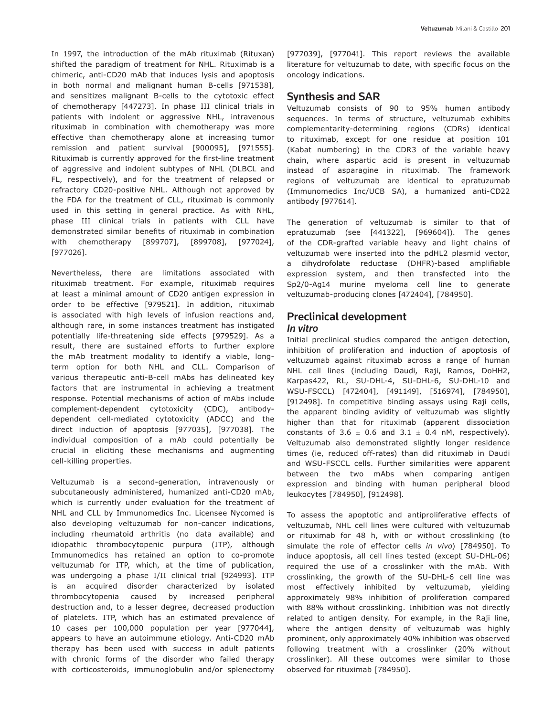In 1997, the introduction of the mAb rituximab (Rituxan) shifted the paradigm of treatment for NHL. Rituximab is a chimeric, anti-CD20 mAb that induces lysis and apoptosis in both normal and malignant human B-cells [971538], and sensitizes malignant B-cells to the cytotoxic effect of chemotherapy [447273]. In phase III clinical trials in patients with indolent or aggressive NHL, intravenous rituximab in combination with chemotherapy was more effective than chemotherapy alone at increasing tumor remission and patient survival [900095], [971555]. Rituximab is currently approved for the first-line treatment of aggressive and indolent subtypes of NHL (DLBCL and FL, respectively), and for the treatment of relapsed or refractory CD20-positive NHL. Although not approved by the FDA for the treatment of CLL, rituximab is commonly used in this setting in general practice. As with NHL, phase III clinical trials in patients with CLL have demonstrated similar benefits of rituximab in combination with chemotherapy [899707], [899708], [977024], [977026].

Nevertheless, there are limitations associated with rituximab treatment. For example, rituximab requires at least a minimal amount of CD20 antigen expression in order to be effective [979521]. In addition, rituximab is associated with high levels of infusion reactions and, although rare, in some instances treatment has instigated potentially life-threatening side effects [979529]. As a result, there are sustained efforts to further explore the mAb treatment modality to identify a viable, longterm option for both NHL and CLL. Comparison of various therapeutic anti-B-cell mAbs has delineated key factors that are instrumental in achieving a treatment response. Potential mechanisms of action of mAbs include complement-dependent cytotoxicity (CDC), antibodydependent cell-mediated cytotoxicity (ADCC) and the direct induction of apoptosis [977035], [977038]. The individual composition of a mAb could potentially be crucial in eliciting these mechanisms and augmenting cell-killing properties.

Veltuzumab is a second-generation, intravenously or subcutaneously administered, humanized anti-CD20 mAb, which is currently under evaluation for the treatment of NHL and CLL by Immunomedics Inc. Licensee Nycomed is also developing veltuzumab for non-cancer indications, including rheumatoid arthritis (no data available) and idiopathic thrombocytopenic purpura (ITP), although Immunomedics has retained an option to co-promote veltuzumab for ITP, which, at the time of publication, was undergoing a phase I/II clinical trial [924993]. ITP is an acquired disorder characterized by isolated thrombocytopenia caused by increased peripheral destruction and, to a lesser degree, decreased production of platelets. ITP, which has an estimated prevalence of 10 cases per 100,000 population per year [977044], appears to have an autoimmune etiology. Anti-CD20 mAb therapy has been used with success in adult patients with chronic forms of the disorder who failed therapy with corticosteroids, immunoglobulin and/or splenectomy [977039], [977041]. This report reviews the available literature for veltuzumab to date, with specific focus on the oncology indications.

# Synthesis and SAR

Veltuzumab consists of 90 to 95% human antibody sequences. In terms of structure, veltuzumab exhibits complementarity-determining regions (CDRs) identical to rituximab, except for one residue at position 101 (Kabat numbering) in the CDR3 of the variable heavy chain, where aspartic acid is present in veltuzumab instead of asparagine in rituximab. The framework regions of veltuzumab are identical to epratuzumab (Immunomedics Inc/UCB SA), a humanized anti-CD22 antibody [977614].

The generation of veltuzumab is similar to that of epratuzumab (see [441322], [969604]). The genes of the CDR-grafted variable heavy and light chains of veltuzumab were inserted into the pdHL2 plasmid vector, a dihydrofolate reductase (DHFR)-based amplifiable expression system, and then transfected into the Sp2/0-Ag14 murine myeloma cell line to generate veltuzumab-producing clones [472404], [784950].

# Preclinical development

#### *In vitro*

Initial preclinical studies compared the antigen detection, inhibition of proliferation and induction of apoptosis of veltuzumab against rituximab across a range of human NHL cell lines (including Daudi, Raji, Ramos, DoHH2, Karpas422, RL, SU-DHL-4, SU-DHL-6, SU-DHL-10 and WSU-FSCCL) [472404], [491149], [516974], [784950], [912498]. In competitive binding assays using Raji cells, the apparent binding avidity of veltuzumab was slightly higher than that for rituximab (apparent dissociation constants of 3.6  $\pm$  0.6 and 3.1  $\pm$  0.4 nM, respectively). Veltuzumab also demonstrated slightly longer residence times (ie, reduced off-rates) than did rituximab in Daudi and WSU-FSCCL cells. Further similarities were apparent between the two mAbs when comparing antigen expression and binding with human peripheral blood leukocytes [784950], [912498].

To assess the apoptotic and antiproliferative effects of veltuzumab, NHL cell lines were cultured with veltuzumab or rituximab for 48 h, with or without crosslinking (to simulate the role of effector cells *in vivo*) [784950]. To induce apoptosis, all cell lines tested (except SU-DHL-06) required the use of a crosslinker with the mAb. With crosslinking, the growth of the SU-DHL-6 cell line was most effectively inhibited by veltuzumab, yielding approximately 98% inhibition of proliferation compared with 88% without crosslinking. Inhibition was not directly related to antigen density. For example, in the Raji line, where the antigen density of veltuzumab was highly prominent, only approximately 40% inhibition was observed following treatment with a crosslinker (20% without crosslinker). All these outcomes were similar to those observed for rituximab [784950].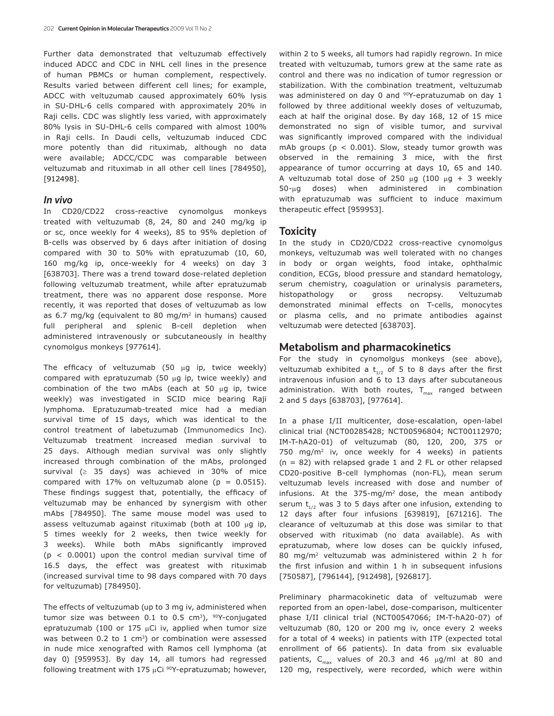Further data demonstrated that veltuzumab effectively induced ADCC and CDC in NHL cell lines in the presence of human PBMCs or human complement, respectively. Results varied between different cell lines; for example, ADCC with veltuzumab caused approximately 60% lysis in SU-DHL-6 cells compared with approximately 20% in Raji cells. CDC was slightly less varied, with approximately 80% lysis in SU-DHL-6 cells compared with almost 100% in Raji cells. In Daudi cells, veltuzumab induced CDC more potently than did rituximab, although no data were available; ADCC/CDC was comparable between veltuzumab and rituximab in all other cell lines [784950], [912498].

#### *In vivo*

In CD20/CD22 cross-reactive cynomolgus monkeys treated with veltuzumab (8, 24, 80 and 240 mg/kg ip or sc, once weekly for 4 weeks), 85 to 95% depletion of B-cells was observed by 6 days after initiation of dosing compared with 30 to 50% with epratuzumab (10, 60, 160 mg/kg ip, once-weekly for 4 weeks) on day 3 [638703]. There was a trend toward dose-related depletion following veltuzumab treatment, while after epratuzumab treatment, there was no apparent dose response. More recently, it was reported that doses of veltuzumab as low as 6.7 mg/kg (equivalent to 80 mg/m<sup>2</sup> in humans) caused full peripheral and splenic B-cell depletion when administered intravenously or subcutaneously in healthy cynomolgus monkeys [977614].

The efficacy of veltuzumab (50 µg ip, twice weekly) compared with epratuzumab (50 µg ip, twice weekly) and combination of the two mAbs (each at 50  $\mu$ g ip, twice weekly) was investigated in SCID mice bearing Raji lymphoma. Epratuzumab-treated mice had a median survival time of 15 days, which was identical to the control treatment of labetuzumab (Immunomedics Inc). Veltuzumab treatment increased median survival to 25 days. Although median survival was only slightly increased through combination of the mAbs, prolonged survival  $(≥ 35 days)$  was achieved in 30% of mice compared with 17% on veltuzumab alone ( $p = 0.0515$ ). These findings suggest that, potentially, the efficacy of veltuzumab may be enhanced by synergism with other mAbs [784950]. The same mouse model was used to assess veltuzumab against rituximab (both at 100  $\mu$ g ip, 5 times weekly for 2 weeks, then twice weekly for 3 weeks). While both mAbs significantly improved  $(p < 0.0001)$  upon the control median survival time of 16.5 days, the effect was greatest with rituximab (increased survival time to 98 days compared with 70 days for veltuzumab) [784950].

The effects of veltuzumab (up to 3 mg iv, administered when tumor size was between  $0.1$  to  $0.5$  cm<sup>3</sup>), <sup>90</sup>Y-conjugated epratuzumab (100 or 175  $\mu$ Ci iv, applied when tumor size was between  $0.2$  to 1 cm<sup>3</sup>) or combination were assessed in nude mice xenografted with Ramos cell lymphoma (at day 0) [959953]. By day 14, all tumors had regressed following treatment with 175  $\mu$ Ci <sup>90</sup>Y-epratuzumab; however,

within 2 to 5 weeks, all tumors had rapidly regrown. In mice treated with veltuzumab, tumors grew at the same rate as control and there was no indication of tumor regression or stabilization. With the combination treatment, veltuzumab was administered on day 0 and <sup>90</sup>Y-epratuzumab on day 1 followed by three additional weekly doses of veltuzumab, each at half the original dose. By day 168, 12 of 15 mice demonstrated no sign of visible tumor, and survival was significantly improved compared with the individual mAb groups ( $p < 0.001$ ). Slow, steady tumor growth was observed in the remaining 3 mice, with the first appearance of tumor occurring at days 10, 65 and 140. A veltuzumab total dose of 250  $\mu$ g (100  $\mu$ g + 3 weekly 50-µg doses) when administered in combination with epratuzumab was sufficient to induce maximum therapeutic effect [959953].

#### Toxicity

In the study in CD20/CD22 cross-reactive cynomolgus monkeys, veltuzumab was well tolerated with no changes in body or organ weights, food intake, ophthalmic condition, ECGs, blood pressure and standard hematology, serum chemistry, coagulation or urinalysis parameters, histopathology or gross necropsy. Veltuzumab demonstrated minimal effects on T-cells, monocytes or plasma cells, and no primate antibodies against veltuzumab were detected [638703].

### Metabolism and pharmacokinetics

For the study in cynomolgus monkeys (see above), veltuzumab exhibited a  $t_{1/2}$  of 5 to 8 days after the first intravenous infusion and 6 to 13 days after subcutaneous administration. With both routes,  $T_{\text{max}}$  ranged between 2 and 5 days [638703], [977614].

In a phase I/II multicenter, dose-escalation, open-label clinical trial (NCT00285428; NCT00596804; NCT00112970; IM-T-hA20-01) of veltuzumab (80, 120, 200, 375 or 750 mg/m2 iv, once weekly for 4 weeks) in patients (n = 82) with relapsed grade 1 and 2 FL or other relapsed CD20-positive B-cell lymphomas (non-FL), mean serum veltuzumab levels increased with dose and number of infusions. At the  $375 \text{-} mg/m^2$  dose, the mean antibody serum  $t_{1/2}$  was 3 to 5 days after one infusion, extending to 12 days after four infusions [639819], [671216]. The clearance of veltuzumab at this dose was similar to that observed with rituximab (no data available). As with epratuzumab, where low doses can be quickly infused, 80 mg/m2 veltuzumab was administered within 2 h for the first infusion and within 1 h in subsequent infusions [750587], [796144], [912498], [926817].

Preliminary pharmacokinetic data of veltuzumab were reported from an open-label, dose-comparison, multicenter phase I/II clinical trial (NCT00547066; IM-T-hA20-07) of veltuzumab (80, 120 or 200 mg iv, once every 2 weeks for a total of 4 weeks) in patients with ITP (expected total enrollment of 66 patients). In data from six evaluable patients,  $C_{max}$  values of 20.3 and 46  $\mu$ g/ml at 80 and 120 mg, respectively, were recorded, which were within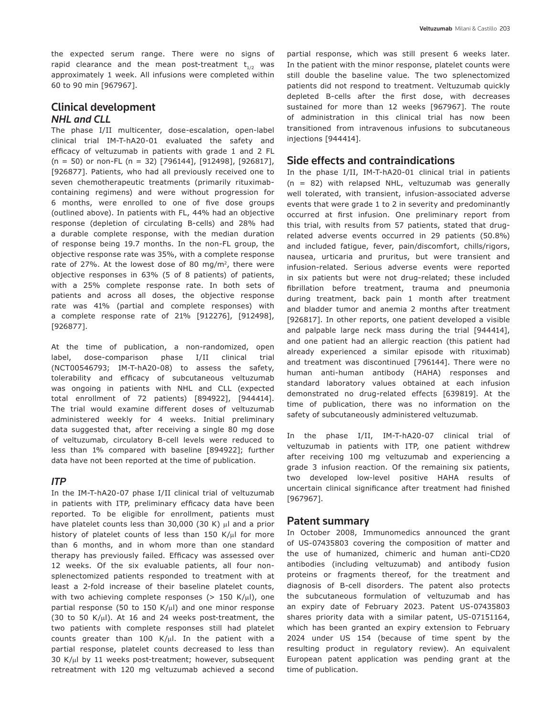the expected serum range. There were no signs of rapid clearance and the mean post-treatment  $t_{1/2}$  was approximately 1 week. All infusions were completed within 60 to 90 min [967967].

# Clinical development *NHL and CLL*

The phase I/II multicenter, dose-escalation, open-label clinical trial IM-T-hA20-01 evaluated the safety and efficacy of veltuzumab in patients with grade 1 and 2 FL (n = 50) or non-FL (n = 32) [796144], [912498], [926817], [926877]. Patients, who had all previously received one to seven chemotherapeutic treatments (primarily rituximabcontaining regimens) and were without progression for 6 months, were enrolled to one of five dose groups (outlined above). In patients with FL, 44% had an objective response (depletion of circulating B-cells) and 28% had a durable complete response, with the median duration of response being 19.7 months. In the non-FL group, the objective response rate was 35%, with a complete response rate of 27%. At the lowest dose of 80 mg/m<sup>2</sup>, there were objective responses in 63% (5 of 8 patients) of patients, with a 25% complete response rate. In both sets of patients and across all doses, the objective response rate was 41% (partial and complete responses) with a complete response rate of 21% [912276], [912498], [926877].

At the time of publication, a non-randomized, open label, dose-comparison phase I/II clinical trial (NCT00546793; IM-T-hA20-08) to assess the safety, tolerability and efficacy of subcutaneous veltuzumab was ongoing in patients with NHL and CLL (expected total enrollment of 72 patients) [894922], [944414]. The trial would examine different doses of veltuzumab administered weekly for 4 weeks. Initial preliminary data suggested that, after receiving a single 80 mg dose of veltuzumab, circulatory B-cell levels were reduced to less than 1% compared with baseline [894922]; further data have not been reported at the time of publication.

### *ITP*

In the IM-T-hA20-07 phase I/II clinical trial of veltuzumab in patients with ITP, preliminary efficacy data have been reported. To be eligible for enrollment, patients must have platelet counts less than 30,000 (30 K)  $\mu$ l and a prior history of platelet counts of less than 150 K/µl for more than 6 months, and in whom more than one standard therapy has previously failed. Efficacy was assessed over 12 weeks. Of the six evaluable patients, all four nonsplenectomized patients responded to treatment with at least a 2-fold increase of their baseline platelet counts, with two achieving complete responses (> 150 K/ $\mu$ l), one partial response (50 to 150 K/ $\mu$ I) and one minor response (30 to 50 K/ $\mu$ I). At 16 and 24 weeks post-treatment, the two patients with complete responses still had platelet counts greater than 100 K/ $\mu$ l. In the patient with a partial response, platelet counts decreased to less than 30 K/µl by 11 weeks post-treatment; however, subsequent retreatment with 120 mg veltuzumab achieved a second

partial response, which was still present 6 weeks later. In the patient with the minor response, platelet counts were still double the baseline value. The two splenectomized patients did not respond to treatment. Veltuzumab quickly depleted B-cells after the first dose, with decreases sustained for more than 12 weeks [967967]. The route of administration in this clinical trial has now been transitioned from intravenous infusions to subcutaneous injections [944414].

### Side effects and contraindications

In the phase I/II, IM-T-hA20-01 clinical trial in patients (n = 82) with relapsed NHL, veltuzumab was generally well tolerated, with transient, infusion-associated adverse events that were grade 1 to 2 in severity and predominantly occurred at first infusion. One preliminary report from this trial, with results from 57 patients, stated that drugrelated adverse events occurred in 29 patients (50.8%) and included fatigue, fever, pain/discomfort, chills/rigors, nausea, urticaria and pruritus, but were transient and infusion-related. Serious adverse events were reported in six patients but were not drug-related; these included fibrillation before treatment, trauma and pneumonia during treatment, back pain 1 month after treatment and bladder tumor and anemia 2 months after treatment [926817]. In other reports, one patient developed a visible and palpable large neck mass during the trial [944414], and one patient had an allergic reaction (this patient had already experienced a similar episode with rituximab) and treatment was discontinued [796144]. There were no human anti-human antibody (HAHA) responses and standard laboratory values obtained at each infusion demonstrated no drug-related effects [639819]. At the time of publication, there was no information on the safety of subcutaneously administered veltuzumab.

In the phase I/II, IM-T-hA20-07 clinical trial of veltuzumab in patients with ITP, one patient withdrew after receiving 100 mg veltuzumab and experiencing a grade 3 infusion reaction. Of the remaining six patients, two developed low-level positive HAHA results of uncertain clinical significance after treatment had finished [967967].

### Patent summary

In October 2008, Immunomedics announced the grant of US-07435803 covering the composition of matter and the use of humanized, chimeric and human anti-CD20 antibodies (including veltuzumab) and antibody fusion proteins or fragments thereof, for the treatment and diagnosis of B-cell disorders. The patent also protects the subcutaneous formulation of veltuzumab and has an expiry date of February 2023. Patent US-07435803 shares priority data with a similar patent, US-07151164, which has been granted an expiry extension to February 2024 under US 154 (because of time spent by the resulting product in regulatory review). An equivalent European patent application was pending grant at the time of publication.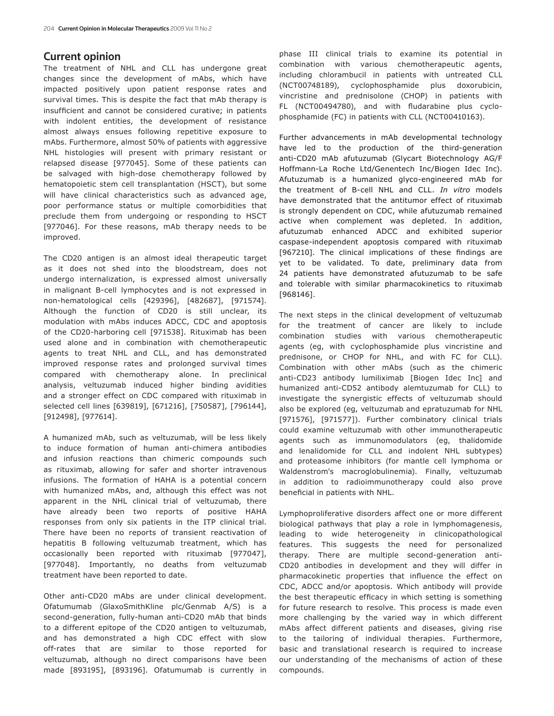### Current opinion

The treatment of NHL and CLL has undergone great changes since the development of mAbs, which have impacted positively upon patient response rates and survival times. This is despite the fact that mAb therapy is insufficient and cannot be considered curative; in patients with indolent entities, the development of resistance almost always ensues following repetitive exposure to mAbs. Furthermore, almost 50% of patients with aggressive NHL histologies will present with primary resistant or relapsed disease [977045]. Some of these patients can be salvaged with high-dose chemotherapy followed by hematopoietic stem cell transplantation (HSCT), but some will have clinical characteristics such as advanced age, poor performance status or multiple comorbidities that preclude them from undergoing or responding to HSCT [977046]. For these reasons, mAb therapy needs to be improved.

The CD20 antigen is an almost ideal therapeutic target as it does not shed into the bloodstream, does not undergo internalization, is expressed almost universally in malignant B-cell lymphocytes and is not expressed in non-hematological cells [429396], [482687], [971574]. Although the function of CD20 is still unclear, its modulation with mAbs induces ADCC, CDC and apoptosis of the CD20-harboring cell [971538]. Rituximab has been used alone and in combination with chemotherapeutic agents to treat NHL and CLL, and has demonstrated improved response rates and prolonged survival times compared with chemotherapy alone. In preclinical analysis, veltuzumab induced higher binding avidities and a stronger effect on CDC compared with rituximab in selected cell lines [639819], [671216], [750587], [796144], [912498], [977614].

A humanized mAb, such as veltuzumab, will be less likely to induce formation of human anti-chimera antibodies and infusion reactions than chimeric compounds such as rituximab, allowing for safer and shorter intravenous infusions. The formation of HAHA is a potential concern with humanized mAbs, and, although this effect was not apparent in the NHL clinical trial of veltuzumab, there have already been two reports of positive HAHA responses from only six patients in the ITP clinical trial. There have been no reports of transient reactivation of hepatitis B following veltuzumab treatment, which has occasionally been reported with rituximab [977047], [977048]. Importantly, no deaths from veltuzumab treatment have been reported to date.

Other anti-CD20 mAbs are under clinical development. Ofatumumab (GlaxoSmithKline plc/Genmab A/S) is a second-generation, fully-human anti-CD20 mAb that binds to a different epitope of the CD20 antigen to veltuzumab, and has demonstrated a high CDC effect with slow off-rates that are similar to those reported for veltuzumab, although no direct comparisons have been made [893195], [893196]. Ofatumumab is currently in phase III clinical trials to examine its potential in combination with various chemotherapeutic agents, including chlorambucil in patients with untreated CLL (NCT00748189), cyclophosphamide plus doxorubicin, vincristine and prednisolone (CHOP) in patients with FL (NCT00494780), and with fludarabine plus cyclophosphamide (FC) in patients with CLL (NCT00410163).

Further advancements in mAb developmental technology have led to the production of the third-generation anti-CD20 mAb afutuzumab (Glycart Biotechnology AG/F Hoffmann-La Roche Ltd/Genentech Inc/Biogen Idec Inc). Afutuzumab is a humanized glyco-engineered mAb for the treatment of B-cell NHL and CLL. *In vitro* models have demonstrated that the antitumor effect of rituximab is strongly dependent on CDC, while afutuzumab remained active when complement was depleted. In addition, afutuzumab enhanced ADCC and exhibited superior caspase-independent apoptosis compared with rituximab [967210]. The clinical implications of these findings are yet to be validated. To date, preliminary data from 24 patients have demonstrated afutuzumab to be safe and tolerable with similar pharmacokinetics to rituximab [968146].

The next steps in the clinical development of veltuzumab for the treatment of cancer are likely to include combination studies with various chemotherapeutic agents (eg, with cyclophosphamide plus vincristine and prednisone, or CHOP for NHL, and with FC for CLL). Combination with other mAbs (such as the chimeric anti-CD23 antibody lumiliximab [Biogen Idec Inc] and humanized anti-CD52 antibody alemtuzumab for CLL) to investigate the synergistic effects of veltuzumab should also be explored (eg, veltuzumab and epratuzumab for NHL [971576], [971577]). Further combinatory clinical trials could examine veltuzumab with other immunotherapeutic agents such as immunomodulators (eg, thalidomide and lenalidomide for CLL and indolent NHL subtypes) and proteasome inhibitors (for mantle cell lymphoma or Waldenstrom's macroglobulinemia). Finally, veltuzumab in addition to radioimmunotherapy could also prove beneficial in patients with NHL.

Lymphoproliferative disorders affect one or more different biological pathways that play a role in lymphomagenesis, leading to wide heterogeneity in clinicopathological features. This suggests the need for personalized therapy. There are multiple second-generation anti-CD20 antibodies in development and they will differ in pharmacokinetic properties that influence the effect on CDC, ADCC and/or apoptosis. Which antibody will provide the best therapeutic efficacy in which setting is something for future research to resolve. This process is made even more challenging by the varied way in which different mAbs affect different patients and diseases, giving rise to the tailoring of individual therapies. Furthermore, basic and translational research is required to increase our understanding of the mechanisms of action of these compounds.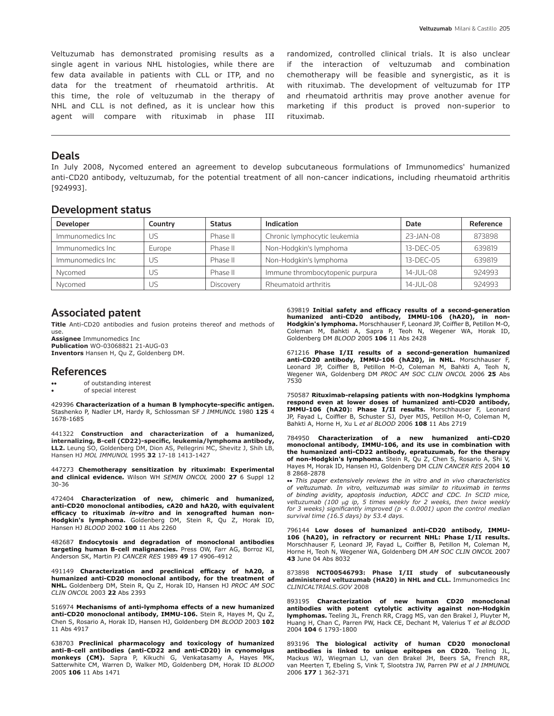Veltuzumab has demonstrated promising results as a single agent in various NHL histologies, while there are few data available in patients with CLL or ITP, and no data for the treatment of rheumatoid arthritis. At this time, the role of veltuzumab in the therapy of NHL and CLL is not defined, as it is unclear how this agent will compare with rituximab in phase III

randomized, controlled clinical trials. It is also unclear if the interaction of veltuzumab and combination chemotherapy will be feasible and synergistic, as it is with rituximab. The development of veltuzumab for ITP and rheumatoid arthritis may prove another avenue for marketing if this product is proved non-superior to rituximab.

#### Deals

In July 2008, Nycomed entered an agreement to develop subcutaneous formulations of Immunomedics' humanized anti-CD20 antibody, veltuzumab, for the potential treatment of all non-cancer indications, including rheumatoid arthritis [924993].

#### Development status

| <b>Developer</b> | Country | <b>Status</b> | Indication                      | Date         | Reference |
|------------------|---------|---------------|---------------------------------|--------------|-----------|
| Immunomedics Inc | US      | Phase II      | Chronic lymphocytic leukemia    | 23-JAN-08    | 873898    |
| Immunomedics Inc | Europe  | Phase II      | Non-Hodgkin's lymphoma          | 13-DEC-05    | 639819    |
| Immunomedics Inc | US      | Phase II      | Non-Hodgkin's lymphoma          | 13-DEC-05    | 639819    |
| Nvcomed          | US      | Phase II      | Immune thrombocytopenic purpura | $14$ -JUL-08 | 924993    |
| Nycomed          | US      | Discovery     | Rheumatoid arthritis            | 14-JUL-08    | 924993    |

### Associated patent

**Title** Anti-CD20 antibodies and fusion proteins thereof and methods of use.

**Assignee** Immunomedics Inc **Publication** WO-03068821 21-AUG-03 **Inventors** Hansen H, Qu Z, Goldenberg DM.

#### References

- •• of outstanding interest
- of special interest

429396 **Characterization of a human B lymphocyte-specific antigen.**  Stashenko P, Nadler LM, Hardy R, Schlossman SF *J Immunol* 1980 **125** 4 1678-1685

441322 **Construction and characterization of a humanized, internalizing, B-cell (CD22)-specific, leukemia/lymphoma antibody, LL2.** Leung SO, Goldenberg DM, Dion AS, Pellegrini MC, Shevitz J, Shih LB, Hansen HJ *MOL IMMUNOL* 1995 **32** 17-18 1413-1427

447273 **Chemotherapy sensitization by rituximab: Experimental and clinical evidence.** Wilson WH *Semin Oncol* 2000 **27** 6 Suppl 12 30-36

472404 **Characterization of new, chimeric and humanized, anti-CD20 monoclonal antibodies, cA20 and hA20, with equivalent efficacy to rituximab** *in-vitro* **and in xenografted human non-Hodgkin's lymphoma.** Goldenberg DM, Stein R, Qu Z, Horak ID, Hansen HJ *Blood* 2002 **100** 11 Abs 2260

482687 **Endocytosis and degradation of monoclonal antibodies targeting human B-cell malignancies.** Press OW, Farr AG, Borroz KI, Anderson SK, Martin PJ *Cancer Res* 1989 **49** 17 4906-4912

491149 **Characterization and preclinical efficacy of hA20, a humanized anti-CD20 monoclonal antibody, for the treatment of NHL.** Goldenberg DM, Stein R, Qu Z, Horak ID, Hansen HJ *PROC AM SOC CLIN ONCOL* 2003 **22** Abs 2393

516974 **Mechanisms of anti-lymphoma effects of a new humanized anti-CD20 monoclonal antibody, IMMU-106.** Stein R, Hayes M, Qu Z, Chen S, Rosario A, Horak ID, Hansen HJ, Goldenberg DM *Blood* 2003 **102**  11 Abs 4917

638703 **Preclinical pharmacology and toxicology of humanized anti-B-cell antibodies (anti-CD22 and anti-CD20) in cynomolgus monkeys (CM).** Sapra P, Kikuchi G, Venkatasamy A, Hayes MK, Satterwhite CM, Warren D, Walker MD, Goldenberg DM, Horak ID *Blood* 2005 **106** 11 Abs 1471

639819 **Initial safety and efficacy results of a second-generation humanized anti-CD20 antibody, IMMU-106 (hA20), in non-Hodgkin's lymphoma.** Morschhauser F, Leonard JP, Coiffier B, Petillon M-O, Coleman M, Bahkti A, Sapra P, Teoh N, Wegener WA, Horak ID, Goldenberg DM *Blood* 2005 **106** 11 Abs 2428

671216 **Phase I/II results of a second-generation humanized anti-CD20 antibody, IMMU-106 (hA20), in NHL.** Morschhauser F, Leonard JP, Coiffier B, Petillon M-O, Coleman M, Bahkti A, Teoh N, Wegener WA, Goldenberg DM *PROC AM SOC CLIN ONCOL* 2006 **25** Abs 7530

750587 **Rituximab-relapsing patients with non-Hodgkins lymphoma respond even at lower doses of humanized anti-CD20 antibody, IMMU-106 (hA20): Phase I/II results.** Morschhauser F, Leonard JP, Fayad L, Coiffier B, Schuster SJ, Dyer MJS, Petillon M-O, Coleman M, Bahkti A, Horne H, Xu L *et al Blood* 2006 **108** 11 Abs 2719

784950 **Characterization of a new humanized anti-CD20 monoclonal antibody, IMMU-106, and its use in combination with the humanized anti-CD22 antibody, epratuzumab, for the therapy of non-Hodgkin's lymphoma.** Stein R, Qu Z, Chen S, Rosario A, Shi V, Hayes M, Horak ID, Hansen HJ, Goldenberg DM *Clin Cancer Res* 2004 **10** 8 2868-2878

•• *This paper extensively reviews the in vitro and in vivo characteristics of veltuzumab. In vitro, veltuzumab was similar to rituximab in terms*  of binding avidity, apoptosis induction, ADCC and CDC. In SCID mice,<br>veltuzumab (100 µg ip, 5 times weekly for 2 weeks, then twice weekly<br>for 3 weeks) significantly improved (p < 0.0001) upon the control median *survival time (16.5 days) by 53.4 days.*

796144 **Low doses of humanized anti-CD20 antibody, IMMU-106 (hA20), in refractory or recurrent NHL: Phase I/II results.**  Morschhauser F, Leonard JP, Fayad L, Coiffier B, Petillon M, Coleman M, Horne H, Teoh N, Wegener WA, Goldenberg DM *AM SOC CLIN ONCOL* 2007 **43** June 04 Abs 8032

873898 **NCT00546793: Phase I/II study of subcutaneously administered veltuzumab (HA20) in NHL and CLL.** Immunomedics Inc *CLINICALTRIALS.GOV* 2008

893195 **Characterization of new human CD20 monoclonal antibodies with potent cytolytic activity against non-Hodgkin lymphomas.** Teeling JL, French RR, Cragg MS, van den Brakel J, Pluyter M, Huang H, Chan C, Parren PW, Hack CE, Dechant M, Valerius T *et al Blood* 2004 **104** 6 1793-1800

893196 **The biological activity of human CD20 monoclonal antibodies is linked to unique epitopes on CD20.** Teeling JL, Mackus WJ, Wiegman LJ, van den Brakel JH, Beers SA, French RR, van Meerten T, Ebeling S, Vink T, Slootstra JW, Parren PW *et al J Immunol* 2006 **177** 1 362-371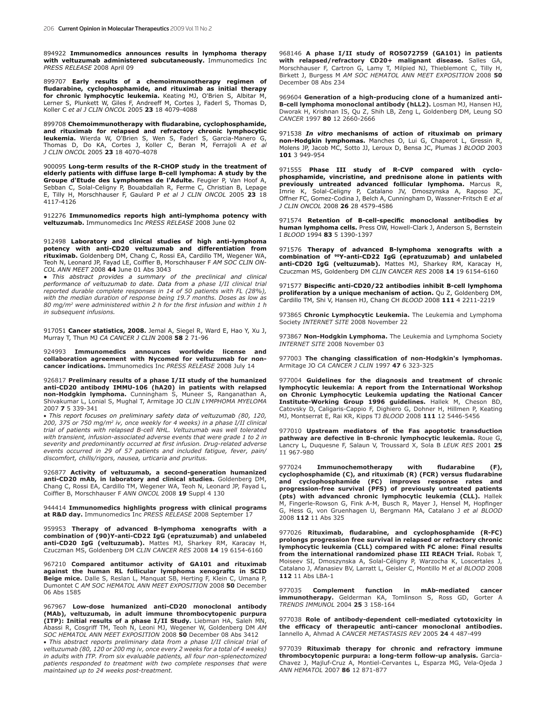894922 **Immunomedics announces results in lymphoma therapy with veltuzumab administered subcutaneously.** Immunomedics Inc *Press release* 2008 April 09

899707 **Early results of a chemoimmunotherapy regimen of fludarabine, cyclophosphamide, and rituximab as initial therapy for chronic lymphocytic leukemia.** Keating MJ, O'Brien S, Albitar M, Lerner S, Plunkett W, Giles F, Andreeff M, Cortes J, Faderl S, Thomas D, Koller C *et al J Clin Oncol* 2005 **23** 18 4079-4088

899708 **Chemoimmunotherapy with fludarabine, cyclophosphamide, and rituximab for relapsed and refractory chronic lymphocytic leukemia.** Wierda W, O'Brien S, Wen S, Faderl S, Garcia-Manero G, Thomas D, Do KA, Cortes J, Koller C, Beran M, Ferrajoli A *et al J Clin Oncol* 2005 **23** 18 4070-4078

900095 **Long-term results of the R-CHOP study in the treatment of elderly patients with diffuse large B-cell lymphoma: A study by the Groupe d'Etude des Lymphomes de l'Adulte.** Feugier P, Van Hoof A, Sebban C, Solal-Celigny P, Bouabdallah R, Ferme C, Christian B, Lepage E, Tilly H, Morschhauser F, Gaulard P *et al J Clin Oncol* 2005 **23** 18 4117-4126

912276 **Immunomedics reports high anti-lymphoma potency with veltuzumab.** Immunomedics Inc *PRESS RELEASE* 2008 June 02

912498 **Laboratory and clinical studies of high anti-lymphoma potency with anti-CD20 veltuzumab and differentiation from rituximab.** Goldenberg DM, Chang C, Rossi EA, Cardillo TM, Wegener WA, Teoh N, Leonard JP, Fayad LE, Coiffier B, Morschhauser F *AM SOC CLIN ON-COL ANN MEET* 2008 **44** June 01 Abs 3043

**●** *This abstract provides a summary of the preclinical and clinical performance of veltuzumab to date. Data from a phase I/II clinical trial reported durable complete responses in 14 of 50 patients with FL (28%), with the median duration of response being 19.7 months. Doses as low as 80 mg/m2 were administered within 2 h for the first infusion and within 1 h in subsequent infusions.*

917051 **Cancer statistics, 2008.** Jemal A, Siegel R, Ward E, Hao Y, Xu J, Murray T, Thun MJ *CA Cancer J Clin* 2008 **58** 2 71-96

924993 **Immunomedics announces worldwide license and collaboration agreement with Nycomed for veltuzumab for non-cancer indications.** Immunomedics Inc *PRESS RELEASE* 2008 July 14

926817 **Preliminary results of a phase I/II study of the humanized anti-CD20 antibody IMMU-106 (hA20) in patients with relapsed non-Hodgkin lymphoma.** Cunningham S, Muneer S, Ranganathan A, Shivakumar L, Lonial S, Mughal T, Armitage JO *CLIN LYMPHOMA MYELOMA* 2007 **7** 5 339-341

• *This report focuses on preliminary safety data of veltuzumab (80, 120, 200, 375 or 750 mg/m2 iv, once weekly for 4 weeks) in a phase I/II clinical trial of patients with relapsed B-cell NHL. Veltuzumab was well tolerated with transient, infusion-associated adverse events that were grade 1 to 2 in severity and predominantly occurred at first infusion. Drug-related adverse events occurred in 29 of 57 patients and included fatigue, fever, pain/ discomfort, chills/rigors, nausea, urticaria and pruritus.*

926877 **Activity of veltuzumab, a second-generation humanized anti-CD20 mAb, in laboratory and clinical studies.** Goldenberg DM, Chang C, Rossi EA, Cardillo TM, Wegener WA, Teoh N, Leonard JP, Fayad L, Coiffier B, Morschhauser F *ANN ONCOL* 2008 **19** Suppl 4 130

944414 **Immunomedics highlights progress with clinical programs at R&D day.** Immunomedics Inc *PRESS RELEASE* 2008 September 17

959953 **Therapy of advanced B-lymphoma xenografts with a combination of (90)Y-anti-CD22 IgG (epratuzumab) and unlabeled anti-CD20 IgG (veltuzumab).** Mattes MJ, Sharkey RM, Karacay H, Czuczman MS, Goldenberg DM *CLIN CANCER RES* 2008 **14** 19 6154-6160

967210 **Compared antitumor activity of GA101 and rituximab against the human RL follicular lymphoma xenografts in SCID Beige mice.** Dalle S, Reslan L, Manquat SB, Herting F, Klein C, Umana P, Dumontet C *AM SOC HEMATOL ANN MEET EXPOSITION* 2008 **50** December 06 Abs 1585

967967 **Low-dose humanized anti-CD20 monoclonal antibody (MAb), veltuzumab, in adult immune thrombocytopenic purpura (ITP): Initial results of a phase I/II Study.** Liebman HA, Saleh MN, Abassi R, Cosgriff TM, Teoh N, Leoni MJ, Wegener W, Goldenberg DM *AM SOC HEMATOL ANN MEET EXPOSITION* 2008 **50** December 08 Abs 3412

• *This abstract reports preliminary data from a phase I/II clinical trial of veltuzumab (80, 120 or 200 mg iv, once every 2 weeks for a total of 4 weeks) in adults with ITP. From six evaluable patients, all four non-splenectomized patients responded to treatment with two complete responses that were maintained up to 24 weeks post-treatment.*

968146 **A phase I/II study of RO5072759 (GA101) in patients with relapsed/refractory CD20+ malignant disease.** Salles GA, Morschhauser F, Cartron G, Lamy T, Milpied NJ, Thieblemont C, Tilly H, Birkett J, Burgess M *AM SOC HEMATOL ANN MEET EXPOSITION* 2008 **50** December 08 Abs 234

969604 **Generation of a high-producing clone of a humanized anti-B-cell lymphoma monoclonal antibody (hLL2).** Losman MJ, Hansen HJ, Dworak H, Krishnan IS, Qu Z, Shih LB, Zeng L, Goldenberg DM, Leung SO *CANCER* 1997 **80** 12 2660-2666

971538 *In vitro* **mechanisms of action of rituximab on primary non-Hodgkin lymphomas.** Manches O, Lui G, Chaperot L, Gressin R, Molens JP, Jacob MC, Sotto JJ, Leroux D, Bensa JC, Plumas J *Blood* 2003 **101** 3 949-954

971555 **Phase III study of R-CVP compared with cyclophosphamide, vincristine, and prednisone alone in patients with previously untreated advanced follicular lymphoma.** Marcus R, Imrie K, Solal-Celigny P, Catalano JV, Dmoszynska A, Raposo JC, Offner FC, Gomez-Codina J, Belch A, Cunningham D, Wassner-Fritsch E *et al J Clin Oncol* 2008 **26** 28 4579-4586

971574 **Retention of B-cell-specific monoclonal antibodies by human lymphoma cells.** Press OW, Howell-Clark J, Anderson S, Bernstein I *Blood* 1994 **83** 5 1390-1397

971576 **Therapy of advanced B-lymphoma xenografts with a combination of 90Y-anti-CD22 IgG (epratuzumab) and unlabeled anti-CD20 IgG (veltuzumab).** Mattes MJ, Sharkey RM, Karacay H, Czuczman MS, Goldenberg DM *Clin Cancer Res* 2008 **14** 19 6154-6160

971577 **Bispecific anti-CD20/22 antibodies inhibit B-cell lymphoma proliferation by a unique mechanism of action.** Qu Z, Goldenberg DM, Cardillo TM, Shi V, Hansen HJ, Chang CH *Blood* 2008 **111** 4 2211-2219

973865 **Chronic Lymphocytic Leukemia.** The Leukemia and Lymphoma Society *INTERNET SITE* 2008 November 22

973867 **Non-Hodgkin Lymphoma.** The Leukemia and Lymphoma Society *INTERNET SITE* 2008 November 03

977003 **The changing classification of non-Hodgkin's lymphomas.** Armitage JO *CA CANCER J CLIN* 1997 **47** 6 323-325

977004 **Guidelines for the diagnosis and treatment of chronic lymphocytic leukemia: A report from the International Workshop on Chronic Lymphocytic Leukemia updating the National Cancer Institute-Working Group 1996 guidelines.** Hallek M, Cheson BD, Catovsky D, Caligaris-Cappio F, Dighiero G, Dohner H, Hillmen P, Keating MJ, Montserrat E, Rai KR, Kipps TJ *BLOOD* 2008 **111** 12 5446-5456

977010 **Upstream mediators of the Fas apoptotic transduction pathway are defective in B-chronic lymphocytic leukemia.** Roue G, Lancry L, Duquesne F, Salaun V, Troussard X, Sola B *LEUK RES* 2001 **25** 11 967-980

977024 **Immunochemotherapy with fludarabine (F), cyclophosphamide (C), and rituximab (R) (FCR) versus fludarabine and cyclophosphamide (FC) improves response rates and progression-free survival (PFS) of previously untreated patients (pts) with advanced chronic lymphocytic leukemia (CLL).** Hallek M, Fingerle-Rowson G, Fink A-M, Busch R, Mayer J, Hensel M, Hopfinger G, Hess G, von Gruenhagen U, Bergmann MA, Catalano J *et al BLOOD* 2008 **112** 11 Abs 325

977026 **Rituximab, fludarabine, and cyclophosphamide (R-FC) prolongs progression free survival in relapsed or refractory chronic lymphocytic leukemia (CLL) compared with FC alone: Final results from the international randomized phase III REACH Trial.** Robak T, Moiseev SI, Dmoszynska A, Solal-Céligny P, Warzocha K, Loscertales J, Catalano J, Afanasiev BV, Larratt L, Geisler C, Montillo M *et al BLOOD* 2008 **112** 11 Abs LBA-1

977035 **Complement function in mAb-mediated cancer immunotherapy.** Gelderman KA, Tomlinson S, Ross GD, Gorter A *TRENDS IMMUNOL* 2004 **25** 3 158-164

977038 **Role of antibody-dependent cell-mediated cytotoxicity in the efficacy of therapeutic anti-cancer monoclonal antibodies.** Iannello A, Ahmad A *CANCER METASTASIS REV* 2005 **24** 4 487-499

977039 **Rituximab therapy for chronic and refractory immune thrombocytopenic purpura: a long-term follow-up analysis.** Garcia-Chavez J, Majluf-Cruz A, Montiel-Cervantes L, Esparza MG, Vela-Ojeda J *ANN HEMATOL* 2007 **86** 12 871-877